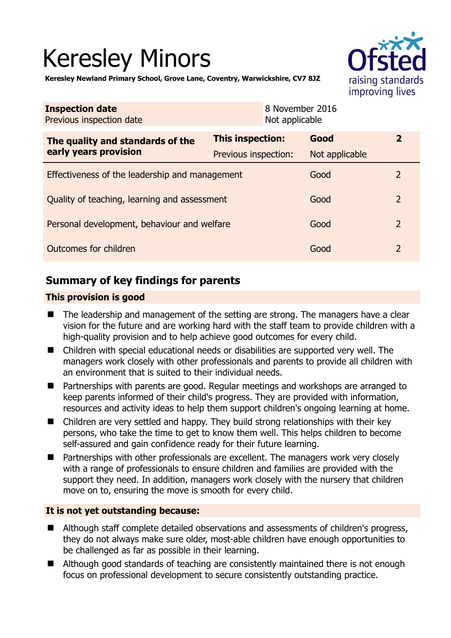# Keresley Minors



**Keresley Newland Primary School, Grove Lane, Coventry, Warwickshire, CV7 8JZ** 

| <b>Inspection date</b><br>Previous inspection date                     |                  | 8 November 2016<br>Not applicable |                |
|------------------------------------------------------------------------|------------------|-----------------------------------|----------------|
| The quality and standards of the<br>early years provision              | This inspection: | Good                              | $\overline{2}$ |
| Previous inspection:<br>Effectiveness of the leadership and management |                  | Not applicable<br>Good            | 2              |
|                                                                        |                  |                                   | $\overline{2}$ |
| Quality of teaching, learning and assessment                           |                  | Good                              |                |
| Personal development, behaviour and welfare                            |                  | Good                              | $\overline{2}$ |
| Outcomes for children                                                  |                  | Good                              | 2              |

# **Summary of key findings for parents**

## **This provision is good**

- The leadership and management of the setting are strong. The managers have a clear vision for the future and are working hard with the staff team to provide children with a high-quality provision and to help achieve good outcomes for every child.
- Children with special educational needs or disabilities are supported very well. The managers work closely with other professionals and parents to provide all children with an environment that is suited to their individual needs.
- Partnerships with parents are good. Regular meetings and workshops are arranged to keep parents informed of their child's progress. They are provided with information, resources and activity ideas to help them support children's ongoing learning at home.
- Children are very settled and happy. They build strong relationships with their key persons, who take the time to get to know them well. This helps children to become self-assured and gain confidence ready for their future learning.
- Partnerships with other professionals are excellent. The managers work very closely with a range of professionals to ensure children and families are provided with the support they need. In addition, managers work closely with the nursery that children move on to, ensuring the move is smooth for every child.

## **It is not yet outstanding because:**

- Although staff complete detailed observations and assessments of children's progress, they do not always make sure older, most-able children have enough opportunities to be challenged as far as possible in their learning.
- Although good standards of teaching are consistently maintained there is not enough focus on professional development to secure consistently outstanding practice.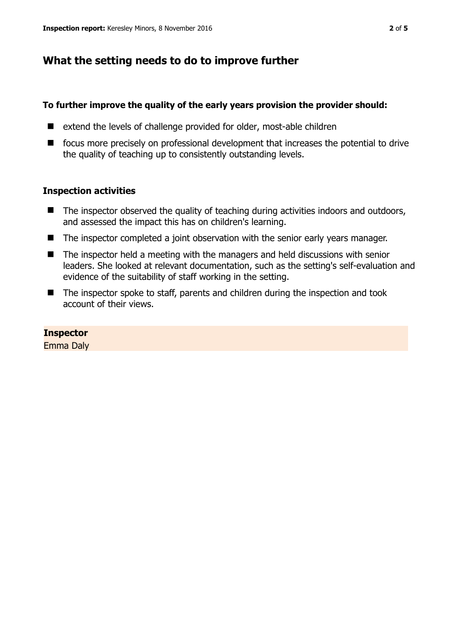# **What the setting needs to do to improve further**

## **To further improve the quality of the early years provision the provider should:**

- extend the levels of challenge provided for older, most-able children
- $\blacksquare$  focus more precisely on professional development that increases the potential to drive the quality of teaching up to consistently outstanding levels.

## **Inspection activities**

- The inspector observed the quality of teaching during activities indoors and outdoors, and assessed the impact this has on children's learning.
- The inspector completed a joint observation with the senior early years manager.
- The inspector held a meeting with the managers and held discussions with senior leaders. She looked at relevant documentation, such as the setting's self-evaluation and evidence of the suitability of staff working in the setting.
- The inspector spoke to staff, parents and children during the inspection and took account of their views.

## **Inspector**

Emma Daly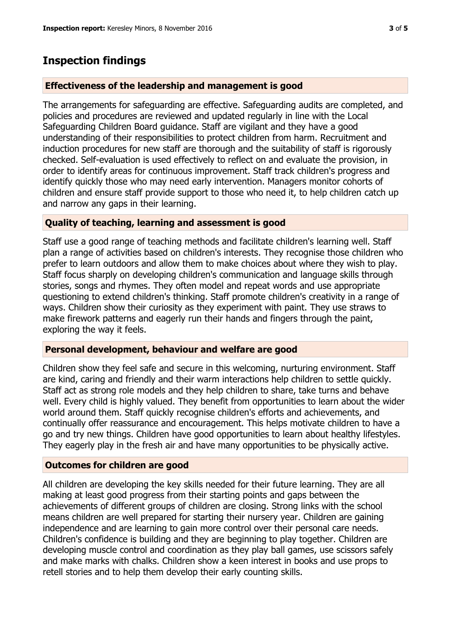## **Inspection findings**

#### **Effectiveness of the leadership and management is good**

The arrangements for safeguarding are effective. Safeguarding audits are completed, and policies and procedures are reviewed and updated regularly in line with the Local Safeguarding Children Board guidance. Staff are vigilant and they have a good understanding of their responsibilities to protect children from harm. Recruitment and induction procedures for new staff are thorough and the suitability of staff is rigorously checked. Self-evaluation is used effectively to reflect on and evaluate the provision, in order to identify areas for continuous improvement. Staff track children's progress and identify quickly those who may need early intervention. Managers monitor cohorts of children and ensure staff provide support to those who need it, to help children catch up and narrow any gaps in their learning.

#### **Quality of teaching, learning and assessment is good**

Staff use a good range of teaching methods and facilitate children's learning well. Staff plan a range of activities based on children's interests. They recognise those children who prefer to learn outdoors and allow them to make choices about where they wish to play. Staff focus sharply on developing children's communication and language skills through stories, songs and rhymes. They often model and repeat words and use appropriate questioning to extend children's thinking. Staff promote children's creativity in a range of ways. Children show their curiosity as they experiment with paint. They use straws to make firework patterns and eagerly run their hands and fingers through the paint, exploring the way it feels.

#### **Personal development, behaviour and welfare are good**

Children show they feel safe and secure in this welcoming, nurturing environment. Staff are kind, caring and friendly and their warm interactions help children to settle quickly. Staff act as strong role models and they help children to share, take turns and behave well. Every child is highly valued. They benefit from opportunities to learn about the wider world around them. Staff quickly recognise children's efforts and achievements, and continually offer reassurance and encouragement. This helps motivate children to have a go and try new things. Children have good opportunities to learn about healthy lifestyles. They eagerly play in the fresh air and have many opportunities to be physically active.

#### **Outcomes for children are good**

All children are developing the key skills needed for their future learning. They are all making at least good progress from their starting points and gaps between the achievements of different groups of children are closing. Strong links with the school means children are well prepared for starting their nursery year. Children are gaining independence and are learning to gain more control over their personal care needs. Children's confidence is building and they are beginning to play together. Children are developing muscle control and coordination as they play ball games, use scissors safely and make marks with chalks. Children show a keen interest in books and use props to retell stories and to help them develop their early counting skills.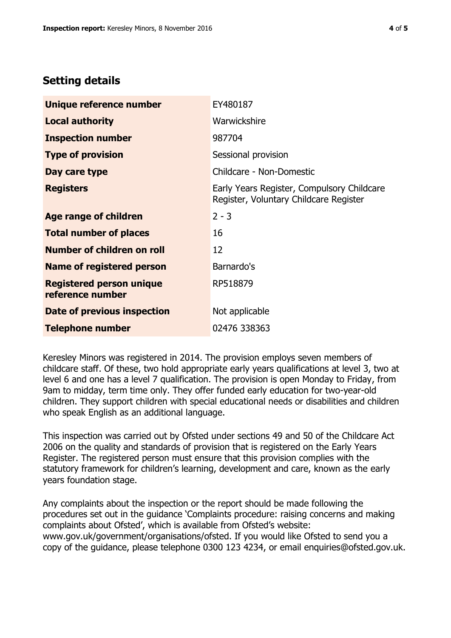# **Setting details**

| Unique reference number                             | EY480187                                                                             |  |
|-----------------------------------------------------|--------------------------------------------------------------------------------------|--|
| <b>Local authority</b>                              | Warwickshire                                                                         |  |
| <b>Inspection number</b>                            | 987704                                                                               |  |
| <b>Type of provision</b>                            | Sessional provision                                                                  |  |
| Day care type                                       | Childcare - Non-Domestic                                                             |  |
| <b>Registers</b>                                    | Early Years Register, Compulsory Childcare<br>Register, Voluntary Childcare Register |  |
| Age range of children                               | $2 - 3$                                                                              |  |
| <b>Total number of places</b>                       | 16                                                                                   |  |
| Number of children on roll                          | 12                                                                                   |  |
| Name of registered person                           | Barnardo's                                                                           |  |
| <b>Registered person unique</b><br>reference number | RP518879                                                                             |  |
| Date of previous inspection                         | Not applicable                                                                       |  |
| <b>Telephone number</b>                             | 02476 338363                                                                         |  |

Keresley Minors was registered in 2014. The provision employs seven members of childcare staff. Of these, two hold appropriate early years qualifications at level 3, two at level 6 and one has a level 7 qualification. The provision is open Monday to Friday, from 9am to midday, term time only. They offer funded early education for two-year-old children. They support children with special educational needs or disabilities and children who speak English as an additional language.

This inspection was carried out by Ofsted under sections 49 and 50 of the Childcare Act 2006 on the quality and standards of provision that is registered on the Early Years Register. The registered person must ensure that this provision complies with the statutory framework for children's learning, development and care, known as the early years foundation stage.

Any complaints about the inspection or the report should be made following the procedures set out in the guidance 'Complaints procedure: raising concerns and making complaints about Ofsted', which is available from Ofsted's website: www.gov.uk/government/organisations/ofsted. If you would like Ofsted to send you a copy of the guidance, please telephone 0300 123 4234, or email enquiries@ofsted.gov.uk.